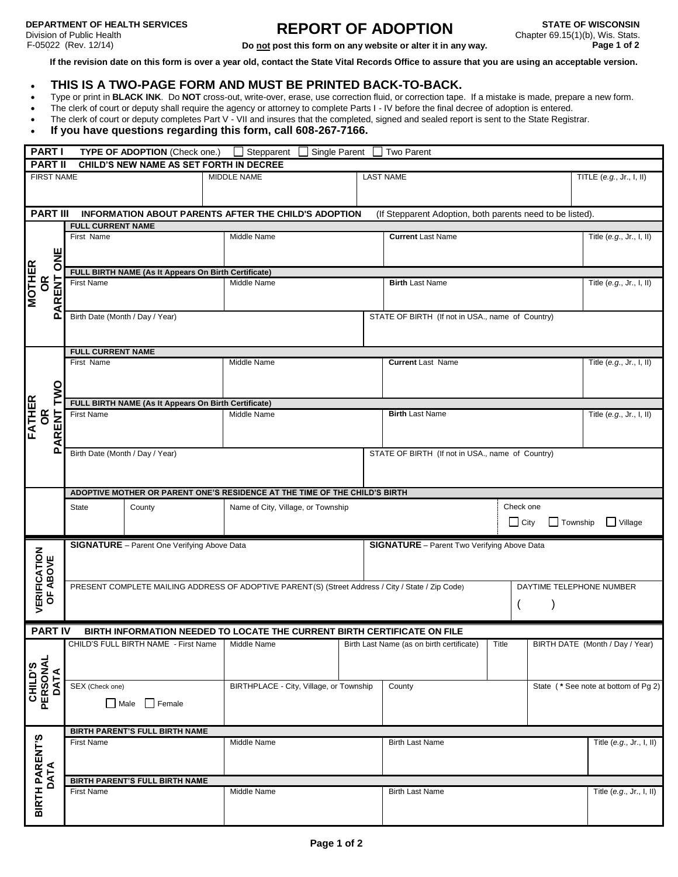## **REPORT OF ADOPTION Do not post this form on any website or alter it in any way.**

**If the revision date on this form is over a year old, contact the State Vital Records Office to assure that you are using an acceptable version.**

## **THIS IS A TWO-PAGE FORM AND MUST BE PRINTED BACK-TO-BACK.**

- Type or print in **BLACK INK**. Do **NOT** cross-out, write-over, erase, use correction fluid, or correction tape. If a mistake is made, prepare a new form.
- The clerk of court or deputy shall require the agency or attorney to complete Parts I IV before the final decree of adoption is entered.
- The clerk of court or deputy completes Part V VII and insures that the completed, signed and sealed report is sent to the State Registrar.

## **If you have questions regarding this form, call 608-267-7166.**

| <b>PART I</b> TYPE OF ADOPTION (Check one.) Stepparent Single Parent Do Two Parent |                                                                                                                                                                                                                                          |                                                                                                   |                                                                                     |                                       |  |  |  |
|------------------------------------------------------------------------------------|------------------------------------------------------------------------------------------------------------------------------------------------------------------------------------------------------------------------------------------|---------------------------------------------------------------------------------------------------|-------------------------------------------------------------------------------------|---------------------------------------|--|--|--|
|                                                                                    |                                                                                                                                                                                                                                          | PART II CHILD'S NEW NAME AS SET FORTH IN DECREE                                                   |                                                                                     |                                       |  |  |  |
| <b>FIRST NAME</b>                                                                  |                                                                                                                                                                                                                                          | MIDDLE NAME                                                                                       | <b>LAST NAME</b>                                                                    | TITLE $(e.g., Jr., I, II)$            |  |  |  |
|                                                                                    |                                                                                                                                                                                                                                          | PART III INFORMATION ABOUT PARENTS AFTER THE CHILD'S ADOPTION                                     | (If Stepparent Adoption, both parents need to be listed).                           |                                       |  |  |  |
|                                                                                    | <b>FULL CURRENT NAME</b>                                                                                                                                                                                                                 |                                                                                                   |                                                                                     |                                       |  |  |  |
|                                                                                    | First Name<br><u>H</u><br>D<br>FULL BIRTH NAME (As It Appears On Birth Certificate)<br>Middle Nar<br>Middle Nar                                                                                                                          | Middle Name                                                                                       | <b>Current Last Name</b>                                                            | Title (e.g., Jr., I, II)              |  |  |  |
|                                                                                    |                                                                                                                                                                                                                                          |                                                                                                   |                                                                                     |                                       |  |  |  |
|                                                                                    | NOTHER<br>SO REAL First Name<br>SO REAL First Name<br>A REAL FIRST NAME                                                                                                                                                                  |                                                                                                   | <b>Birth Last Name</b>                                                              | Title (e.g., Jr., I, II)              |  |  |  |
| പ                                                                                  | Birth Date (Month / Day / Year)<br>STATE OF BIRTH (If not in USA., name of Country)                                                                                                                                                      |                                                                                                   |                                                                                     |                                       |  |  |  |
|                                                                                    | <b>FULL CURRENT NAME</b>                                                                                                                                                                                                                 |                                                                                                   |                                                                                     |                                       |  |  |  |
|                                                                                    | First Name<br>O<br>S<br>FULL BIRTH NAME (As It Appears On Birth Certificate)                                                                                                                                                             | Middle Name                                                                                       | <b>Current Last Name</b>                                                            | Title (e.g., Jr., I, II)              |  |  |  |
|                                                                                    |                                                                                                                                                                                                                                          |                                                                                                   |                                                                                     |                                       |  |  |  |
|                                                                                    | <b>EXEMPLE SERVER SERVER SERVER SERVER SERVER SERVER SERVER SERVER SERVER SERVER SERVER SERVER SERVER SERVER SERVE<br/>SERVER SERVER SERVER SERVER SERVER SERVER SERVER SERVER SERVER SERVER SERVER SERVER SERVER SERVER SERVER SERV</b> | Middle Name                                                                                       | <b>Birth Last Name</b>                                                              | Title (e.g., Jr., I, II)              |  |  |  |
| ௨                                                                                  | Birth Date (Month / Day / Year)                                                                                                                                                                                                          | ADOPTIVE MOTHER OR PARENT ONE'S RESIDENCE AT THE TIME OF THE CHILD'S BIRTH                        | STATE OF BIRTH (If not in USA., name of Country)                                    |                                       |  |  |  |
|                                                                                    | State<br>County                                                                                                                                                                                                                          | Name of City, Village, or Township                                                                |                                                                                     | Check one<br>City Township Village    |  |  |  |
| <b>VERIFICATION<br/>OF ABOVE</b>                                                   | <b>SIGNATURE</b> - Parent One Verifying Above Data<br><b>SIGNATURE</b> - Parent Two Verifying Above Data                                                                                                                                 |                                                                                                   |                                                                                     |                                       |  |  |  |
|                                                                                    |                                                                                                                                                                                                                                          | PRESENT COMPLETE MAILING ADDRESS OF ADOPTIVE PARENT(S) (Street Address / City / State / Zip Code) |                                                                                     | DAYTIME TELEPHONE NUMBER              |  |  |  |
|                                                                                    |                                                                                                                                                                                                                                          | PART IV BIRTH INFORMATION NEEDED TO LOCATE THE CURRENT BIRTH CERTIFICATE ON FILE                  |                                                                                     |                                       |  |  |  |
| CHILD'S<br>PERSONAL<br>DATA                                                        | CHILD'S FULL BIRTH NAME - First Name   Middle Name                                                                                                                                                                                       |                                                                                                   | Birth Last Name (as on birth certificate)   Title   BIRTH DATE (Month / Day / Year) |                                       |  |  |  |
|                                                                                    | SEX (Check one)<br>$\Box$ Male $\Box$ Female                                                                                                                                                                                             | BIRTHPLACE - City, Village, or Township County                                                    |                                                                                     | State ( * See note at bottom of Pg 2) |  |  |  |
|                                                                                    | <b>BIRTH PARENT'S FULL BIRTH NAME</b>                                                                                                                                                                                                    |                                                                                                   |                                                                                     |                                       |  |  |  |
| <b>BIRTH PARENT'S<br/>DATA</b>                                                     | <b>First Name</b>                                                                                                                                                                                                                        | Middle Name                                                                                       | <b>Birth Last Name</b>                                                              | Title $(e.g., Jr., I, II)$            |  |  |  |
|                                                                                    | <b>BIRTH PARENT'S FULL BIRTH NAME</b>                                                                                                                                                                                                    |                                                                                                   |                                                                                     |                                       |  |  |  |
|                                                                                    | First Name                                                                                                                                                                                                                               | Middle Name                                                                                       | <b>Birth Last Name</b>                                                              | Title $(e.g., Jr., I, II)$            |  |  |  |